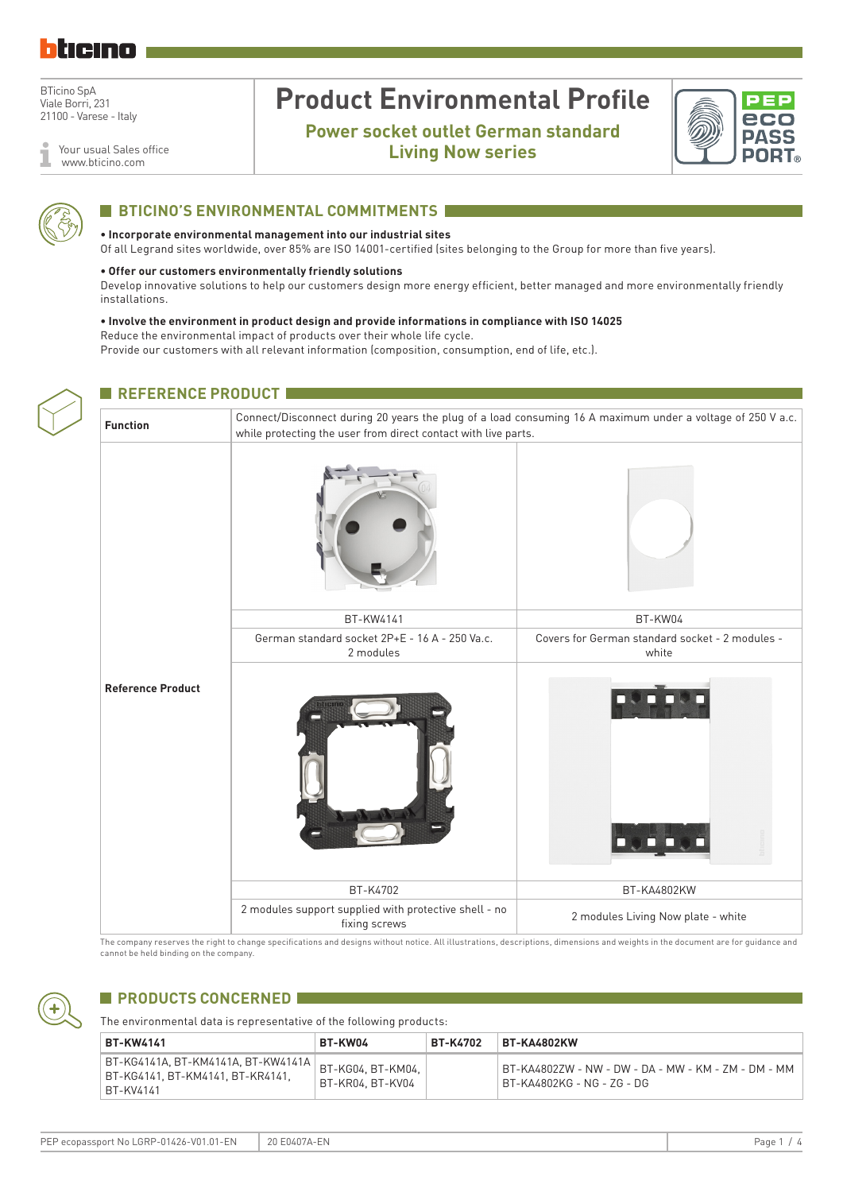

Your usual Sales office 1 www.bticino.com

# **Product Environmental Profile**

**Power socket outlet German standard Living Now series**





## **BTICINO'S ENVIRONMENTAL COMMITMENTS**

### **• Incorporate environmental management into our industrial sites**

Of all Legrand sites worldwide, over 85% are ISO 14001-certified (sites belonging to the Group for more than five years).

### **• Offer our customers environmentally friendly solutions**

Develop innovative solutions to help our customers design more energy efficient, better managed and more environmentally friendly installations.

#### **• Involve the environment in product design and provide informations in compliance with ISO 14025** Reduce the environmental impact of products over their whole life cycle.

Provide our customers with all relevant information (composition, consumption, end of life, etc.).

| <b>REFERENCE PRODUCT</b> |                                                                                                                                                                              |                                                          |  |  |  |  |  |  |
|--------------------------|------------------------------------------------------------------------------------------------------------------------------------------------------------------------------|----------------------------------------------------------|--|--|--|--|--|--|
| <b>Function</b>          | Connect/Disconnect during 20 years the plug of a load consuming 16 A maximum under a voltage of 250 V a.c.<br>while protecting the user from direct contact with live parts. |                                                          |  |  |  |  |  |  |
|                          |                                                                                                                                                                              |                                                          |  |  |  |  |  |  |
|                          | BT-KW4141                                                                                                                                                                    | BT-KW04                                                  |  |  |  |  |  |  |
|                          | German standard socket 2P+E - 16 A - 250 Va.c.<br>2 modules                                                                                                                  | Covers for German standard socket - 2 modules -<br>white |  |  |  |  |  |  |
| <b>Reference Product</b> |                                                                                                                                                                              |                                                          |  |  |  |  |  |  |
|                          | BT-K4702                                                                                                                                                                     | BT-KA4802KW                                              |  |  |  |  |  |  |
|                          | 2 modules support supplied with protective shell - no<br>fixing screws                                                                                                       | 2 modules Living Now plate - white                       |  |  |  |  |  |  |

The company reserves the right to change specifications and designs without notice. All illustrations, descriptions, dimensions and weights in the document are for guidance and cannot be held binding on the company.



## **PRODUCTS CONCERNED 1**

The environmental data is representative of the following products:

| <b>BT-KW4141</b>                                                                      | <b>BT-KW04</b>                        | <b>BT-K4702</b> | ⊦BT-KA4802KW                                                                      |
|---------------------------------------------------------------------------------------|---------------------------------------|-----------------|-----------------------------------------------------------------------------------|
| BT-KG4141A, BT-KM4141A, BT-KW4141A  <br>BT-KG4141, BT-KM4141, BT-KR4141,<br>BT-KV4141 | BT-KG04, BT-KM04.<br>BT-KR04. BT-KV04 |                 | BT-KA4802ZW - NW - DW - DA - MW - KM - ZM - DM - MM<br>BT-KA4802KG - NG - ZG - DG |

PEP ecopassport No LGRP-01426-V01.01-EN 20 E0407A-EN Page 1 / 4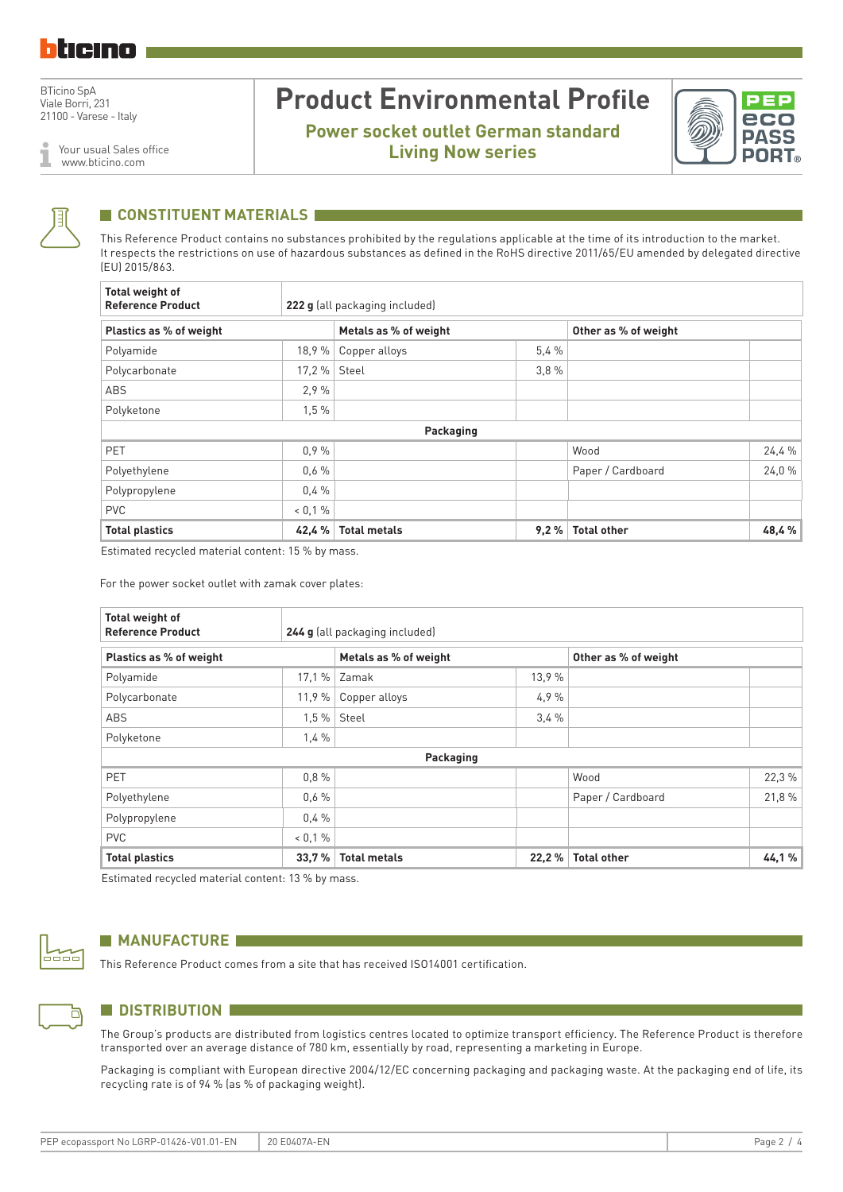Your usual Sales office

www.bticino.com

# **Product Environmental Profile**

**Power socket outlet German standard Living Now series**





### **CONSTITUENT MATERIALS**

This Reference Product contains no substances prohibited by the regulations applicable at the time of its introduction to the market. It respects the restrictions on use of hazardous substances as defined in the RoHS directive 2011/65/EU amended by delegated directive (EU) 2015/863.

| Total weight of<br><b>Reference Product</b> | 222 g (all packaging included) |                       |      |                      |        |  |  |  |
|---------------------------------------------|--------------------------------|-----------------------|------|----------------------|--------|--|--|--|
| Plastics as % of weight                     |                                | Metals as % of weight |      | Other as % of weight |        |  |  |  |
| Polyamide                                   | 18,9%                          | Copper alloys         | 5.4% |                      |        |  |  |  |
| Polycarbonate                               | 17.2%                          | Steel                 | 3.8% |                      |        |  |  |  |
| ABS                                         | 2.9%                           |                       |      |                      |        |  |  |  |
| Polyketone                                  | 1,5%                           |                       |      |                      |        |  |  |  |
|                                             |                                | Packaging             |      |                      |        |  |  |  |
| <b>PET</b>                                  | 0.9%                           |                       |      | Wood                 | 24,4 % |  |  |  |
| Polyethylene                                | 0.6%                           |                       |      | Paper / Cardboard    | 24,0%  |  |  |  |
| Polypropylene                               | 0.4%                           |                       |      |                      |        |  |  |  |
| <b>PVC</b>                                  | $0.1\%$                        |                       |      |                      |        |  |  |  |
| <b>Total plastics</b>                       | 42,4%                          | <b>Total metals</b>   | 9,2% | <b>Total other</b>   | 48,4%  |  |  |  |

Estimated recycled material content: 15 % by mass.

For the power socket outlet with zamak cover plates:

| Total weight of<br><b>Reference Product</b>                              |        | 244 g (all packaging included) |        |                    |        |  |
|--------------------------------------------------------------------------|--------|--------------------------------|--------|--------------------|--------|--|
| Plastics as % of weight<br>Metals as % of weight<br>Other as % of weight |        |                                |        |                    |        |  |
| Polyamide                                                                | 17,1 % | Zamak                          | 13,9 % |                    |        |  |
| Polycarbonate                                                            | 11,9%  | Copper alloys                  | 4.9%   |                    |        |  |
| <b>ABS</b>                                                               | 1,5%   | Steel                          | 3.4%   |                    |        |  |
| Polyketone                                                               | 1,4%   |                                |        |                    |        |  |
|                                                                          |        | Packaging                      |        |                    |        |  |
| PET                                                                      | 0.8%   |                                |        | Wood               | 22,3 % |  |
| Polyethylene                                                             | 0.6%   |                                |        | Paper / Cardboard  | 21,8%  |  |
| Polypropylene                                                            | 0.4%   |                                |        |                    |        |  |
| <b>PVC</b>                                                               | 0,1%   |                                |        |                    |        |  |
| <b>Total plastics</b>                                                    | 33,7%  | <b>Total metals</b>            | 22,2%  | <b>Total other</b> | 44,1%  |  |

Estimated recycled material content: 13 % by mass.



### **MANUFACTURE**

This Reference Product comes from a site that has received ISO14001 certification.



### **N** DISTRIBUTION

The Group's products are distributed from logistics centres located to optimize transport efficiency. The Reference Product is therefore transported over an average distance of 780 km, essentially by road, representing a marketing in Europe.

Packaging is compliant with European directive 2004/12/EC concerning packaging and packaging waste. At the packaging end of life, its recycling rate is of 94 % (as % of packaging weight).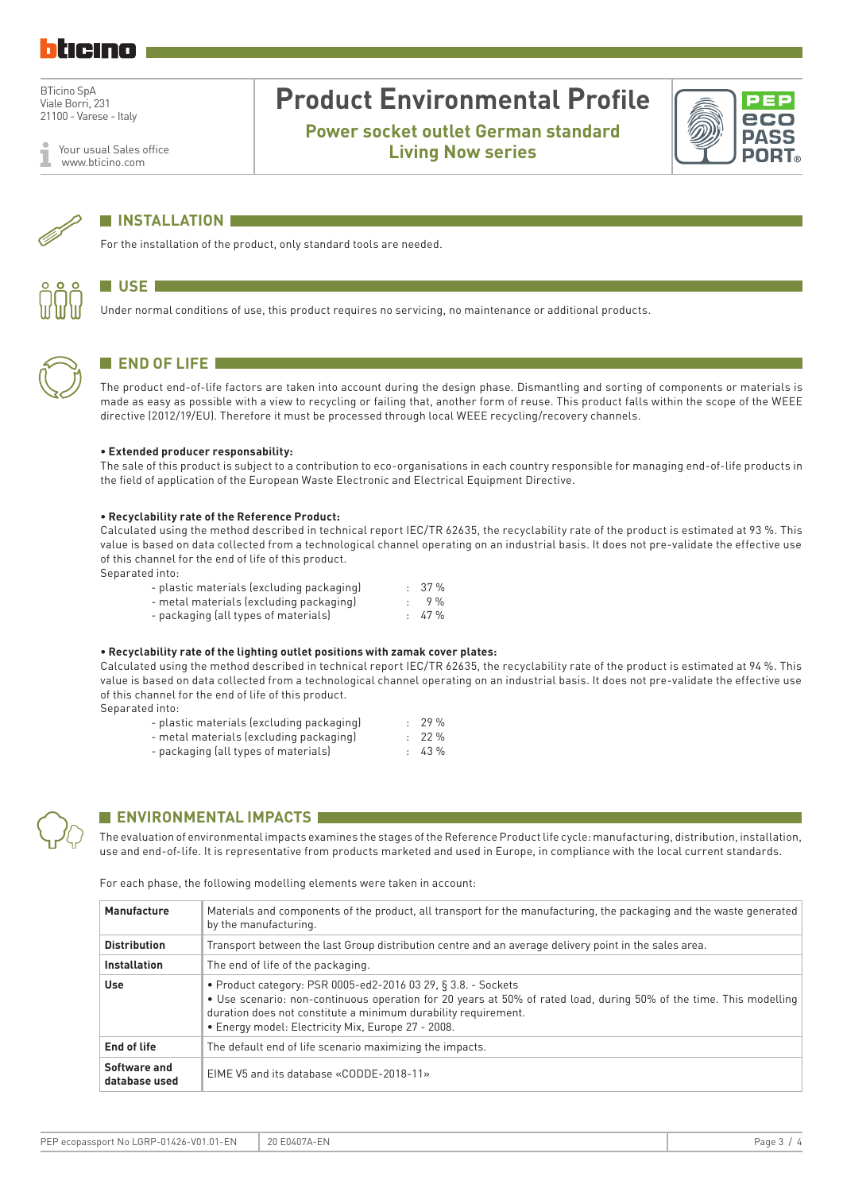Your usual Sales office www.bticino.com

# **Product Environmental Profile**

**Power socket outlet German standard Living Now series**





## **N** INSTALLATION

For the installation of the product, only standard tools are needed.



## **N** USE **I**

Under normal conditions of use, this product requires no servicing, no maintenance or additional products.



## **END OF LIFE**

The product end-of-life factors are taken into account during the design phase. Dismantling and sorting of components or materials is made as easy as possible with a view to recycling or failing that, another form of reuse. This product falls within the scope of the WEEE directive (2012/19/EU). Therefore it must be processed through local WEEE recycling/recovery channels.

#### **• Extended producer responsability:**

The sale of this product is subject to a contribution to eco-organisations in each country responsible for managing end-of-life products in the field of application of the European Waste Electronic and Electrical Equipment Directive.

#### **• Recyclability rate of the Reference Product:**

Calculated using the method described in technical report IEC/TR 62635, the recyclability rate of the product is estimated at 93 %. This value is based on data collected from a technological channel operating on an industrial basis. It does not pre-validate the effective use of this channel for the end of life of this product.

Separated into:

| - plastic materials (excluding packaging) | $: 37 \%$   |
|-------------------------------------------|-------------|
| - metal materials (excluding packaging)   | $.9\%$      |
| - packaging (all types of materials)      | $\pm 47 \%$ |

#### **• Recyclability rate of the lighting outlet positions with zamak cover plates:**

Calculated using the method described in technical report IEC/TR 62635, the recyclability rate of the product is estimated at 94 %. This value is based on data collected from a technological channel operating on an industrial basis. It does not pre-validate the effective use of this channel for the end of life of this product. Separated into:

| .                                         |           |
|-------------------------------------------|-----------|
| - plastic materials (excluding packaging) | $: 29 \%$ |
| - metal materials (excluding packaging)   | $: 22 \%$ |
| - packaging (all types of materials)      | $: 43 \%$ |



## **ENVIRONMENTAL IMPACTS**

The evaluation of environmental impacts examines the stages of the Reference Product life cycle: manufacturing, distribution, installation, use and end-of-life. It is representative from products marketed and used in Europe, in compliance with the local current standards.

#### For each phase, the following modelling elements were taken in account:

| Manufacture                   | Materials and components of the product, all transport for the manufacturing, the packaging and the waste generated<br>by the manufacturing.                                                                                                                                                                |
|-------------------------------|-------------------------------------------------------------------------------------------------------------------------------------------------------------------------------------------------------------------------------------------------------------------------------------------------------------|
| <b>Distribution</b>           | Transport between the last Group distribution centre and an average delivery point in the sales area.                                                                                                                                                                                                       |
| <b>Installation</b>           | The end of life of the packaging.                                                                                                                                                                                                                                                                           |
| Use                           | • Product category: PSR 0005-ed2-2016 03 29, § 3.8. - Sockets<br>• Use scenario: non-continuous operation for 20 years at 50% of rated load, during 50% of the time. This modelling<br>duration does not constitute a minimum durability requirement.<br>• Energy model: Electricity Mix, Europe 27 - 2008. |
| End of life                   | The default end of life scenario maximizing the impacts.                                                                                                                                                                                                                                                    |
| Software and<br>database used | EIME V5 and its database «CODDE-2018-11»                                                                                                                                                                                                                                                                    |